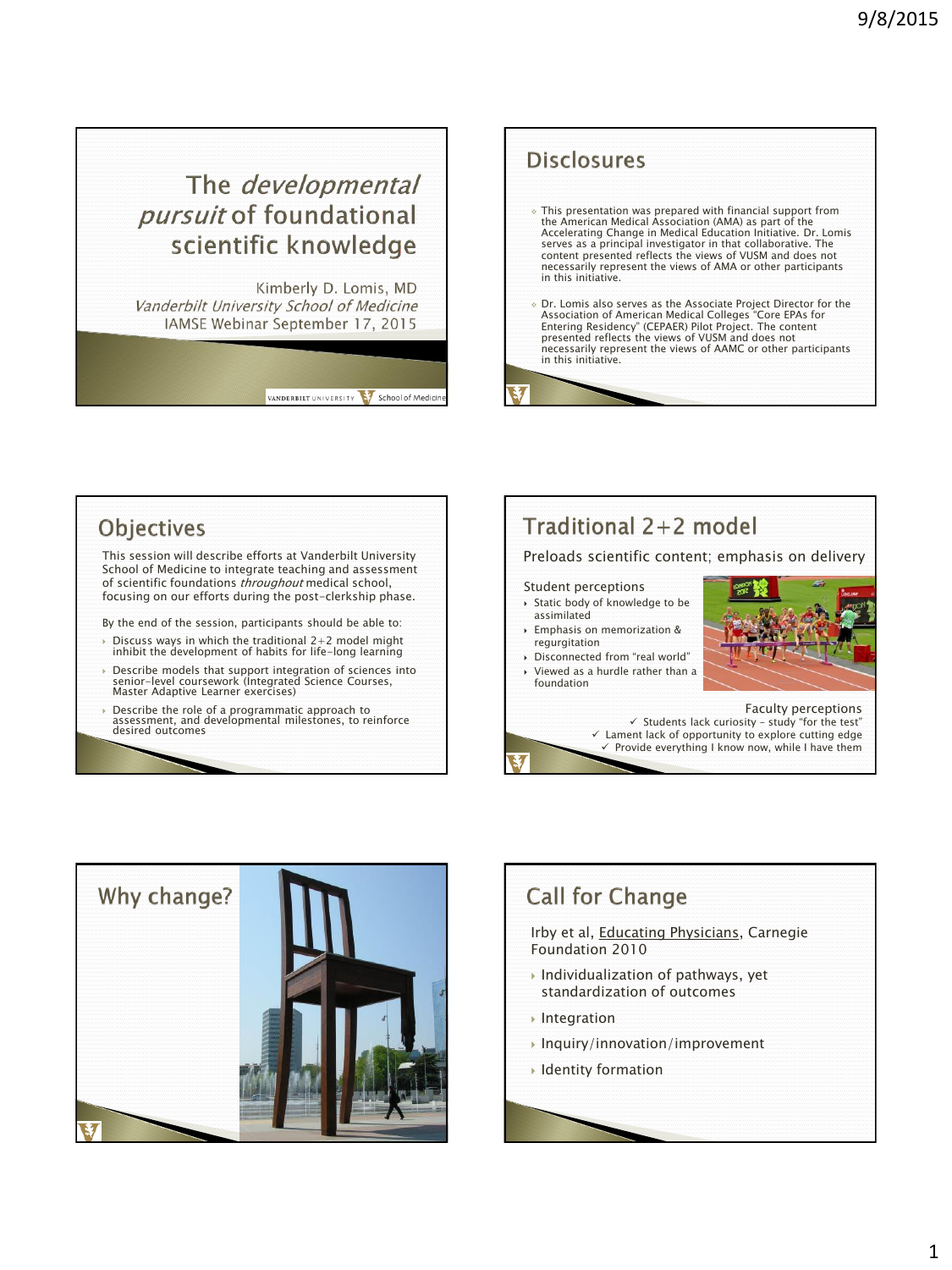## The *developmental pursuit* of foundational scientific knowledge

Kimberly D. Lomis, MD Vanderbilt University School of Medicine IAMSE Webinar September 17, 2015

VANDERBILT UNIVERSITY School of Medicin





 Describe the role of a programmatic approach to assessment, and developmental milestones, to reinforce desired outcomes

# Traditional 2+2 model

### Preloads scientific content; emphasis on delivery

#### Student perceptions

- Static body of knowledge to be assimilated
- Emphasis on memorization & regurgitation
- Disconnected from "real world"
- Viewed as a hurdle rather than a foundation

Faculty perceptions  $\checkmark$  Students lack curiosity - study "for the test"  $\checkmark$  Lament lack of opportunity to explore cutting edge  $\checkmark$  Provide everything I know now, while I have them



### **Call for Change**

Irby et al, Educating Physicians, Carnegie Foundation 2010

- Individualization of pathways, yet standardization of outcomes
- **Integration**
- Inquiry/innovation/improvement
- Identity formation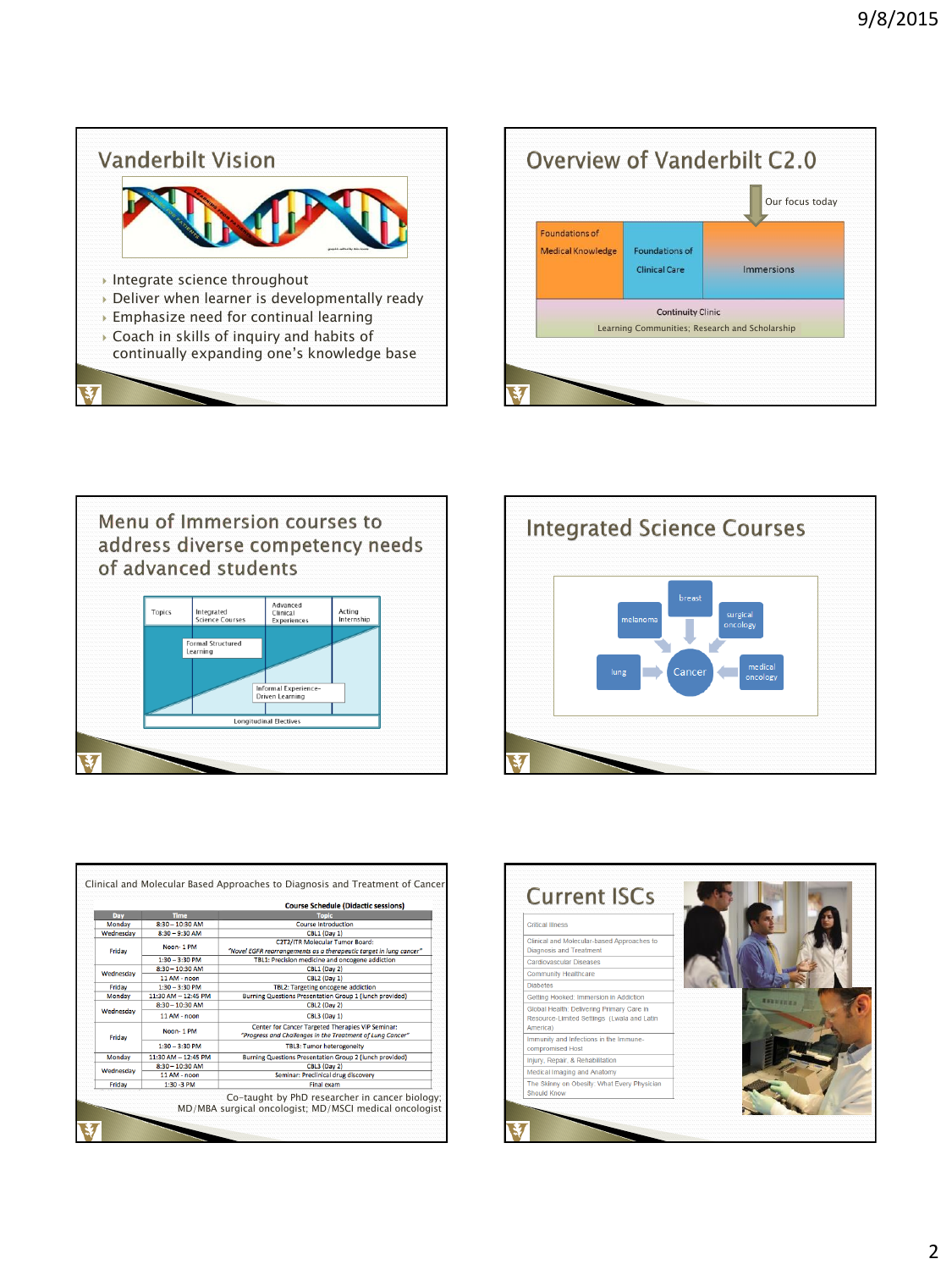









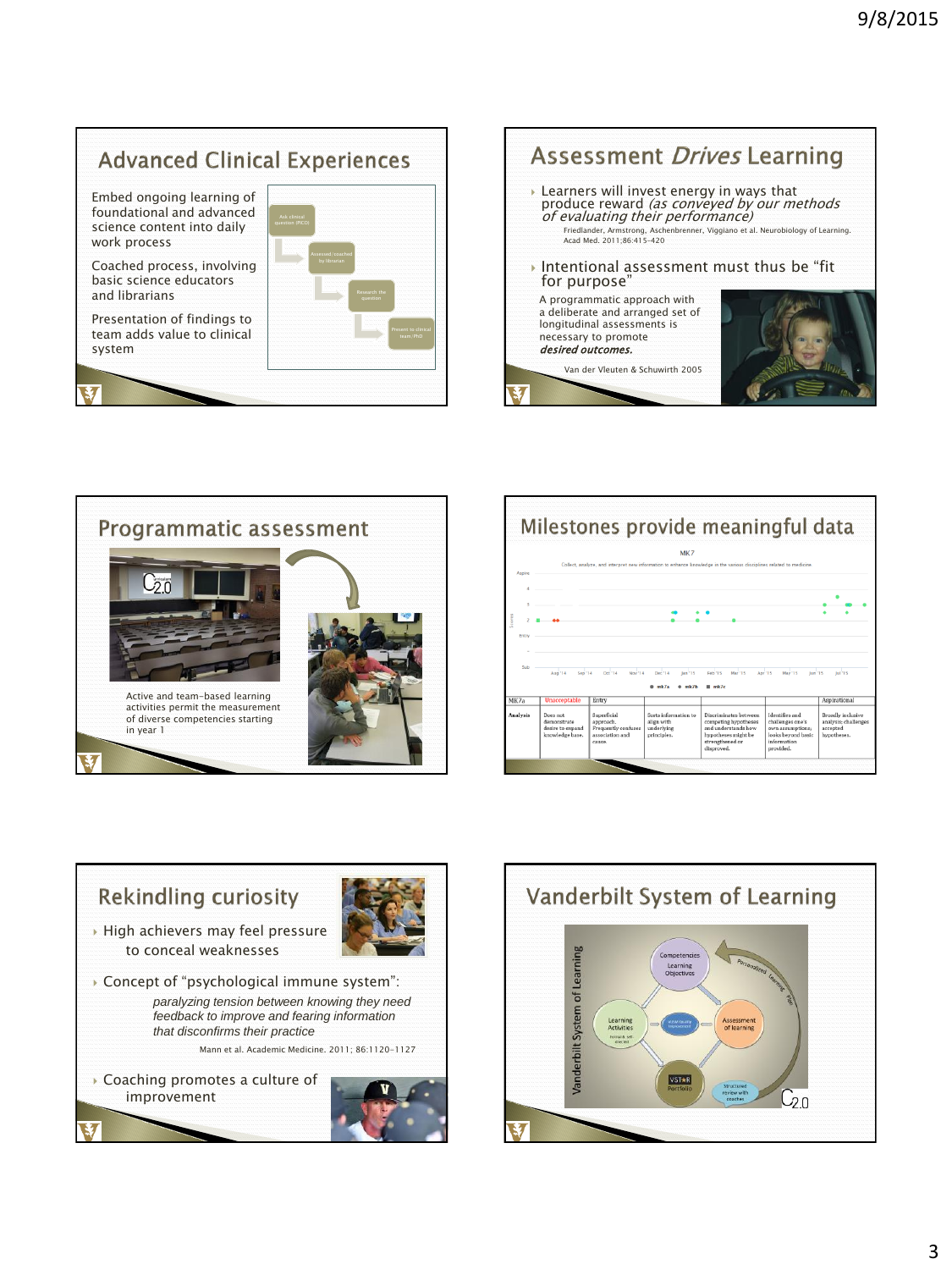### **Advanced Clinical Experiences**

Embed ongoing learning of foundational and advanced science content into daily work process

Coached process, involving basic science educators and librarians

Presentation of findings to team adds value to clinical system